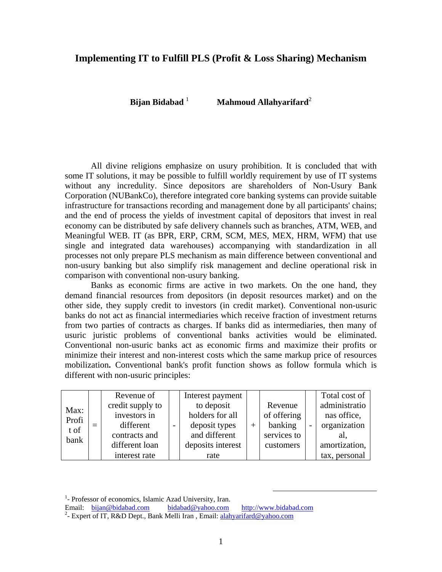## **Implementing IT to Fulfill PLS (Profit & Loss Sharing) Mechanism**

**Bijan Bidabad**<sup>1</sup> **Mahmoud Allahyarifard**<sup>2</sup>

All divine religions emphasize on usury prohibition. It is concluded that with some IT solutions, it may be possible to fulfill worldly requirement by use of IT systems without any incredulity. Since depositors are shareholders of Non-Usury Bank Corporation (NUBankCo), therefore integrated core banking systems can provide suitable infrastructure for transactions recording and management done by all participants' chains; and the end of process the yields of investment capital of depositors that invest in real economy can be distributed by safe delivery channels such as branches, ATM, WEB, and Meaningful WEB. IT (as BPR, ERP, CRM, SCM, MES, MEX, HRM, WFM) that use single and integrated data warehouses) accompanying with standardization in all processes not only prepare PLS mechanism as main difference between conventional and non-usury banking but also simplify risk management and decline operational risk in comparison with conventional non-usury banking.

Banks as economic firms are active in two markets. On the one hand, they demand financial resources from depositors (in deposit resources market) and on the other side, they supply credit to investors (in credit market). Conventional non-usuric banks do not act as financial intermediaries which receive fraction of investment returns from two parties of contracts as charges. If banks did as intermediaries, then many of usuric juristic problems of conventional banks activities would be eliminated. Conventional non-usuric banks act as economic firms and maximize their profits or minimize their interest and non-interest costs which the same markup price of resources mobilization**.** Conventional bank's profit function shows as follow formula which is different with non-usuric principles:

|                               |  | Revenue of       |  | Interest payment  |     |             |              | Total cost of |
|-------------------------------|--|------------------|--|-------------------|-----|-------------|--------------|---------------|
| Max:<br>Profi<br>t of<br>bank |  | credit supply to |  | to deposit        |     | Revenue     |              | administratio |
|                               |  | investors in     |  | holders for all   | $+$ | of offering |              | nas office,   |
|                               |  | different        |  | deposit types     |     | banking     | organization |               |
|                               |  | contracts and    |  | and different     |     | services to |              | al.           |
|                               |  | different loan   |  | deposits interest |     | customers   |              | amortization, |
|                               |  | interest rate    |  | rate              |     |             |              | tax, personal |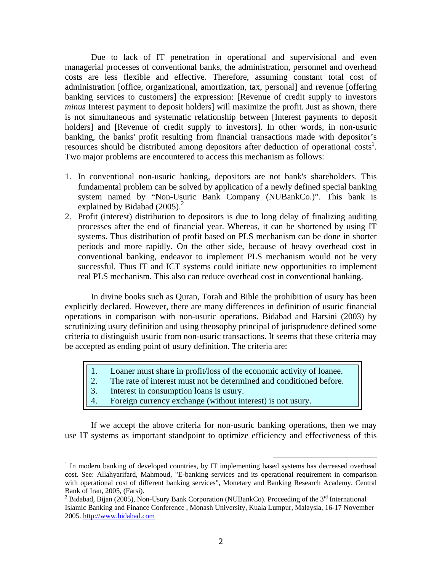Due to lack of IT penetration in operational and supervisional and even managerial processes of conventional banks, the administration, personnel and overhead costs are less flexible and effective. Therefore, assuming constant total cost of administration [office, organizational, amortization, tax, personal] and revenue [offering banking services to customers] the expression: [Revenue of credit supply to investors *minus* Interest payment to deposit holders] will maximize the profit. Just as shown, there is not simultaneous and systematic relationship between [Interest payments to deposit holders] and [Revenue of credit supply to investors]. In other words, in non-usuric banking, the banks' profit resulting from financial transactions made with depositor's resources should be distributed among depositors after deduction of operational costs<sup>1</sup>. Two major problems are encountered to access this mechanism as follows:

- 1. In conventional non-usuric banking, depositors are not bank's shareholders. This fundamental problem can be solved by application of a newly defined special banking system named by "Non-Usuric Bank Company (NUBankCo.)". This bank is explained by Bidabad  $(2005)^2$
- 2. Profit (interest) distribution to depositors is due to long delay of finalizing auditing processes after the end of financial year. Whereas, it can be shortened by using IT systems. Thus distribution of profit based on PLS mechanism can be done in shorter periods and more rapidly. On the other side, because of heavy overhead cost in conventional banking, endeavor to implement PLS mechanism would not be very successful. Thus IT and ICT systems could initiate new opportunities to implement real PLS mechanism. This also can reduce overhead cost in conventional banking.

In divine books such as Quran, Torah and Bible the prohibition of usury has been explicitly declared. However, there are many differences in definition of usuric financial operations in comparison with non-usuric operations. Bidabad and Harsini (2003) by scrutinizing usury definition and using theosophy principal of jurisprudence defined some criteria to distinguish usuric from non-usuric transactions. It seems that these criteria may be accepted as ending point of usury definition. The criteria are:

- 1. Loaner must share in profit/loss of the economic activity of loanee.
- 2. The rate of interest must not be determined and conditioned before.
- 3. Interest in consumption loans is usury.
- 4. Foreign currency exchange (without interest) is not usury.

If we accept the above criteria for non-usuric banking operations, then we may use IT systems as important standpoint to optimize efficiency and effectiveness of this

<sup>&</sup>lt;sup>1</sup> In modern banking of developed countries, by IT implementing based systems has decreased overhead cost. See: Allahyarifard, Mahmoud, "E-banking services and its operational requirement in comparison with operational cost of different banking services", Monetary and Banking Research Academy, Central Bank of Iran, 2005, (Farsi).

<sup>&</sup>lt;sup>2</sup> Bidabad, Bijan (2005), Non-Usury Bank Corporation (NUBankCo). Proceeding of the 3<sup>rd</sup> International Islamic Banking and Finance Conference , Monash University, Kuala Lumpur, Malaysia, 16-17 November 2005. http://www.bidabad.com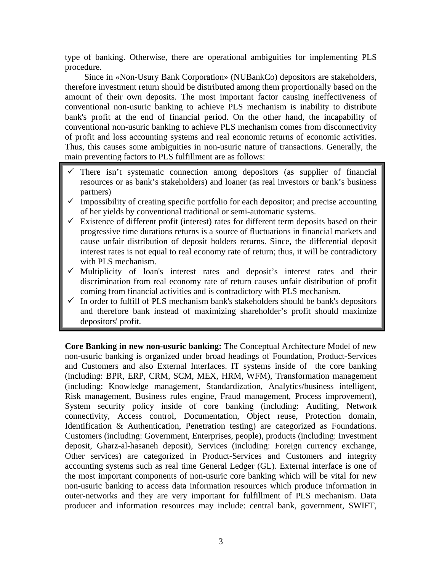type of banking. Otherwise, there are operational ambiguities for implementing PLS procedure.

Since in «Non-Usury Bank Corporation» (NUBankCo) depositors are stakeholders, therefore investment return should be distributed among them proportionally based on the amount of their own deposits. The most important factor causing ineffectiveness of conventional non-usuric banking to achieve PLS mechanism is inability to distribute bank's profit at the end of financial period. On the other hand, the incapability of conventional non-usuric banking to achieve PLS mechanism comes from disconnectivity of profit and loss accounting systems and real economic returns of economic activities. Thus, this causes some ambiguities in non-usuric nature of transactions. Generally, the main preventing factors to PLS fulfillment are as follows:

- There isn't systematic connection among depositors (as supplier of financial resources or as bank's stakeholders) and loaner (as real investors or bank's business partners)
- $\checkmark$  Impossibility of creating specific portfolio for each depositor; and precise accounting of her yields by conventional traditional or semi-automatic systems.
- $\checkmark$  Existence of different profit (interest) rates for different term deposits based on their progressive time durations returns is a source of fluctuations in financial markets and cause unfair distribution of deposit holders returns. Since, the differential deposit interest rates is not equal to real economy rate of return; thus, it will be contradictory with PLS mechanism.
- $\checkmark$  Multiplicity of loan's interest rates and deposit's interest rates and their discrimination from real economy rate of return causes unfair distribution of profit coming from financial activities and is contradictory with PLS mechanism.
- $\checkmark$  In order to fulfill of PLS mechanism bank's stakeholders should be bank's depositors and therefore bank instead of maximizing shareholder's profit should maximize depositors' profit.

**Core Banking in new non-usuric banking:** The Conceptual Architecture Model of new non-usuric banking is organized under broad headings of Foundation, Product-Services and Customers and also External Interfaces. IT systems inside of the core banking (including: BPR, ERP, CRM, SCM, MEX, HRM, WFM), Transformation management (including: Knowledge management, Standardization, Analytics/business intelligent, Risk management, Business rules engine, Fraud management, Process improvement), System security policy inside of core banking (including: Auditing, Network connectivity, Access control, Documentation, Object reuse, Protection domain, Identification & Authentication, Penetration testing) are categorized as Foundations. Customers (including: Government, Enterprises, people), products (including: Investment deposit, Gharz-al-hasaneh deposit), Services (including: Foreign currency exchange, Other services) are categorized in Product-Services and Customers and integrity accounting systems such as real time General Ledger (GL). External interface is one of the most important components of non-usuric core banking which will be vital for new non-usuric banking to access data information resources which produce information in outer-networks and they are very important for fulfillment of PLS mechanism. Data producer and information resources may include: central bank, government, SWIFT,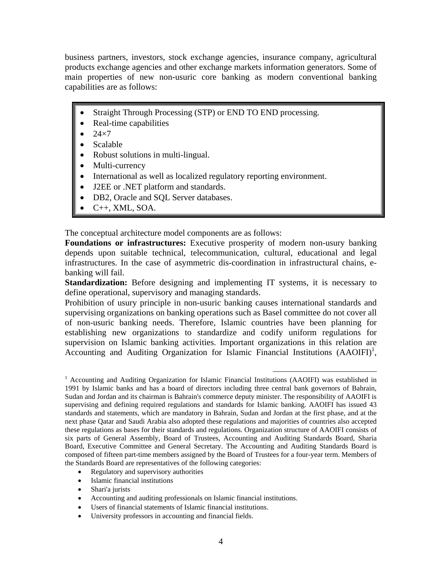business partners, investors, stock exchange agencies, insurance company, agricultural products exchange agencies and other exchange markets information generators. Some of main properties of new non-usuric core banking as modern conventional banking capabilities are as follows:

- Straight Through Processing (STP) or END TO END processing.
- Real-time capabilities
- $\bullet$  24 $\times$ 7
- Scalable
- Robust solutions in multi-lingual.
- Multi-currency
- International as well as localized regulatory reporting environment.
- J2EE or .NET platform and standards.
- DB2, Oracle and SQL Server databases.
- $\bullet$  C++, XML, SOA.

The conceptual architecture model components are as follows:

**Foundations or infrastructures:** Executive prosperity of modern non-usury banking depends upon suitable technical, telecommunication, cultural, educational and legal infrastructures. In the case of asymmetric dis-coordination in infrastructural chains, ebanking will fail.

**Standardization:** Before designing and implementing IT systems, it is necessary to define operational, supervisory and managing standards.

Prohibition of usury principle in non-usuric banking causes international standards and supervising organizations on banking operations such as Basel committee do not cover all of non-usuric banking needs. Therefore, Islamic countries have been planning for establishing new organizations to standardize and codify uniform regulations for supervision on Islamic banking activities. Important organizations in this relation are Accounting and Auditing Organization for Islamic Financial Institutions  $(AAOIFI)^1$ ,

- Regulatory and supervisory authorities
- Islamic financial institutions
- Shari'a jurists
- Accounting and auditing professionals on Islamic financial institutions.
- Users of financial statements of Islamic financial institutions.
- University professors in accounting and financial fields.

 <sup>1</sup> Accounting and Auditing Organization for Islamic Financial Institutions (AAOIFI) was established in 1991 by Islamic banks and has a board of directors including three central bank governors of Bahrain, Sudan and Jordan and its chairman is Bahrain's commerce deputy minister. The responsibility of AAOIFI is supervising and defining required regulations and standards for Islamic banking. AAOIFI has issued 43 standards and statements, which are mandatory in Bahrain, Sudan and Jordan at the first phase, and at the next phase Qatar and Saudi Arabia also adopted these regulations and majorities of countries also accepted these regulations as bases for their standards and regulations. Organization structure of AAOIFI consists of six parts of General Assembly, Board of Trustees, Accounting and Auditing Standards Board, Sharia Board, Executive Committee and General Secretary. The Accounting and Auditing Standards Board is composed of fifteen part-time members assigned by the Board of Trustees for a four-year term. Members of the Standards Board are representatives of the following categories: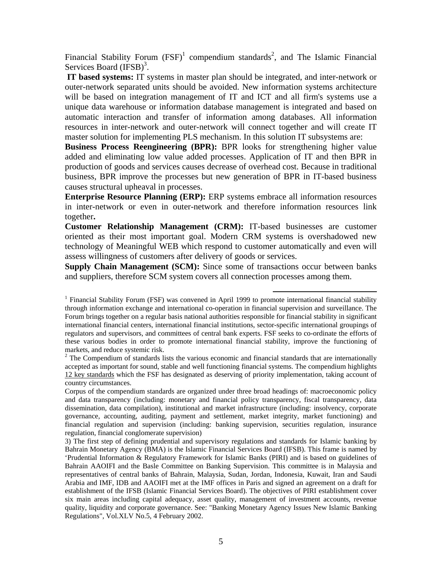Financial Stability Forum  $(FSF)^1$  compendium standards<sup>2</sup>, and The Islamic Financial Services Board (IFSB)<sup>3</sup>.

 **IT based systems:** IT systems in master plan should be integrated, and inter-network or outer-network separated units should be avoided. New information systems architecture will be based on integration management of IT and ICT and all firm's systems use a unique data warehouse or information database management is integrated and based on automatic interaction and transfer of information among databases. All information resources in inter-network and outer-network will connect together and will create IT master solution for implementing PLS mechanism. In this solution IT subsystems are:

**Business Process Reengineering (BPR):** BPR looks for strengthening higher value added and eliminating low value added processes. Application of IT and then BPR in production of goods and services causes decrease of overhead cost. Because in traditional business, BPR improve the processes but new generation of BPR in IT-based business causes structural upheaval in processes.

**Enterprise Resource Planning (ERP):** ERP systems embrace all information resources in inter-network or even in outer-network and therefore information resources link together**.** 

**Customer Relationship Management (CRM):** IT-based businesses are customer oriented as their most important goal. Modern CRM systems is overshadowed new technology of Meaningful WEB which respond to customer automatically and even will assess willingness of customers after delivery of goods or services.

**Supply Chain Management (SCM):** Since some of transactions occur between banks and suppliers, therefore SCM system covers all connection processes among them.

<sup>&</sup>lt;sup>1</sup> Financial Stability Forum (FSF) was convened in April 1999 to promote international financial stability through information exchange and international co-operation in financial supervision and surveillance. The Forum brings together on a regular basis national authorities responsible for financial stability in significant international financial centers, international financial institutions, sector-specific international groupings of regulators and supervisors, and committees of central bank experts. FSF seeks to co-ordinate the efforts of these various bodies in order to promote international financial stability, improve the functioning of markets, and reduce systemic risk.

 $2$  The Compendium of standards lists the various economic and financial standards that are internationally accepted as important for sound, stable and well functioning financial systems. The compendium highlights 12 key standards which the FSF has designated as deserving of priority implementation, taking account of country circumstances.

Corpus of the compendium standards are organized under three broad headings of: macroeconomic policy and data transparency (including: monetary and financial policy transparency, fiscal transparency, data dissemination, data compilation), institutional and market infrastructure (including: insolvency, corporate governance, accounting, auditing, payment and settlement, market integrity, market functioning) and financial regulation and supervision (including: banking supervision, securities regulation, insurance regulation, financial conglomerate supervision)

<sup>3)</sup> The first step of defining prudential and supervisory regulations and standards for Islamic banking by Bahrain Monetary Agency (BMA) is the Islamic Financial Services Board (IFSB). This frame is named by 'Prudential Information & Regulatory Framework for Islamic Banks (PIRI) and is based on guidelines of Bahrain AAOIFI and the Basle Committee on Banking Supervision. This committee is in Malaysia and representatives of central banks of Bahrain, Malaysia, Sudan, Jordan, Indonesia, Kuwait, Iran and Saudi Arabia and IMF, IDB and AAOIFI met at the IMF offices in Paris and signed an agreement on a draft for establishment of the IFSB (Islamic Financial Services Board). The objectives of PIRI establishment cover six main areas including capital adequacy, asset quality, management of investment accounts, revenue quality, liquidity and corporate governance. See: "Banking Monetary Agency Issues New Islamic Banking Regulations", Vol.XLV No.5, 4 February 2002.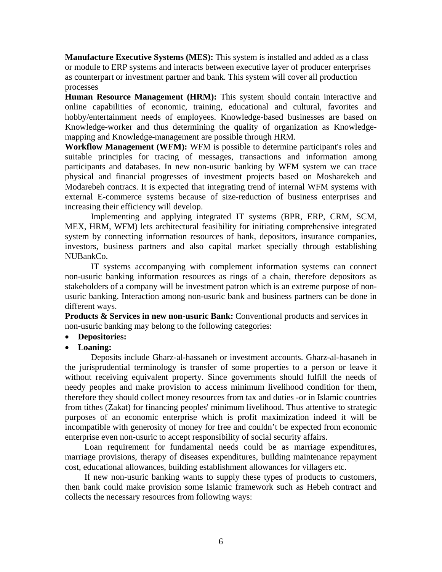**Manufacture Executive Systems (MES):** This system is installed and added as a class or module to ERP systems and interacts between executive layer of producer enterprises as counterpart or investment partner and bank. This system will cover all production processes

**Human Resource Management (HRM):** This system should contain interactive and online capabilities of economic, training, educational and cultural, favorites and hobby/entertainment needs of employees. Knowledge-based businesses are based on Knowledge-worker and thus determining the quality of organization as Knowledgemapping and Knowledge-management are possible through HRM.

**Workflow Management (WFM):** WFM is possible to determine participant's roles and suitable principles for tracing of messages, transactions and information among participants and databases. In new non-usuric banking by WFM system we can trace physical and financial progresses of investment projects based on Mosharekeh and Modarebeh contracs. It is expected that integrating trend of internal WFM systems with external E-commerce systems because of size-reduction of business enterprises and increasing their efficiency will develop.

Implementing and applying integrated IT systems (BPR, ERP, CRM, SCM, MEX, HRM, WFM) lets architectural feasibility for initiating comprehensive integrated system by connecting information resources of bank, depositors, insurance companies, investors, business partners and also capital market specially through establishing NUBankCo.

IT systems accompanying with complement information systems can connect non-usuric banking information resources as rings of a chain, therefore depositors as stakeholders of a company will be investment patron which is an extreme purpose of nonusuric banking. Interaction among non-usuric bank and business partners can be done in different ways.

**Products & Services in new non-usuric Bank:** Conventional products and services in non-usuric banking may belong to the following categories:

#### **Depositories:**

#### **Loaning:**

Deposits include Gharz-al-hassaneh or investment accounts. Gharz-al-hasaneh in the jurisprudential terminology is transfer of some properties to a person or leave it without receiving equivalent property. Since governments should fulfill the needs of needy peoples and make provision to access minimum livelihood condition for them, therefore they should collect money resources from tax and duties -or in Islamic countries from tithes (Zakat) for financing peoples' minimum livelihood. Thus attentive to strategic purposes of an economic enterprise which is profit maximization indeed it will be incompatible with generosity of money for free and couldn't be expected from economic enterprise even non-usuric to accept responsibility of social security affairs.

Loan requirement for fundamental needs could be as marriage expenditures, marriage provisions, therapy of diseases expenditures, building maintenance repayment cost, educational allowances, building establishment allowances for villagers etc.

If new non-usuric banking wants to supply these types of products to customers, then bank could make provision some Islamic framework such as Hebeh contract and collects the necessary resources from following ways: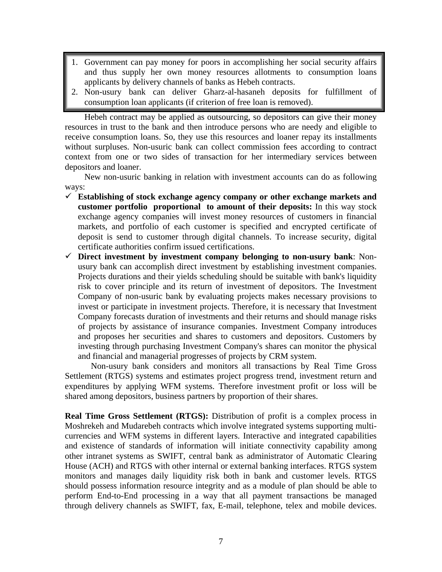- 1. Government can pay money for poors in accomplishing her social security affairs and thus supply her own money resources allotments to consumption loans applicants by delivery channels of banks as Hebeh contracts.
- 2. Non-usury bank can deliver Gharz-al-hasaneh deposits for fulfillment of consumption loan applicants (if criterion of free loan is removed).

Hebeh contract may be applied as outsourcing, so depositors can give their money resources in trust to the bank and then introduce persons who are needy and eligible to receive consumption loans. So, they use this resources and loaner repay its installments without surpluses. Non-usuric bank can collect commission fees according to contract context from one or two sides of transaction for her intermediary services between depositors and loaner.

New non-usuric banking in relation with investment accounts can do as following ways:

- **Establishing of stock exchange agency company or other exchange markets and customer portfolio proportional to amount of their deposits:** In this way stock exchange agency companies will invest money resources of customers in financial markets, and portfolio of each customer is specified and encrypted certificate of deposit is send to customer through digital channels. To increase security, digital certificate authorities confirm issued certifications.
- **Direct investment by investment company belonging to non-usury bank**: Nonusury bank can accomplish direct investment by establishing investment companies. Projects durations and their yields scheduling should be suitable with bank's liquidity risk to cover principle and its return of investment of depositors. The Investment Company of non-usuric bank by evaluating projects makes necessary provisions to invest or participate in investment projects. Therefore, it is necessary that Investment Company forecasts duration of investments and their returns and should manage risks of projects by assistance of insurance companies. Investment Company introduces and proposes her securities and shares to customers and depositors. Customers by investing through purchasing Investment Company's shares can monitor the physical and financial and managerial progresses of projects by CRM system.

Non-usury bank considers and monitors all transactions by Real Time Gross Settlement (RTGS) systems and estimates project progress trend, investment return and expenditures by applying WFM systems. Therefore investment profit or loss will be shared among depositors, business partners by proportion of their shares.

**Real Time Gross Settlement (RTGS):** Distribution of profit is a complex process in Moshrekeh and Mudarebeh contracts which involve integrated systems supporting multicurrencies and WFM systems in different layers. Interactive and integrated capabilities and existence of standards of information will initiate connectivity capability among other intranet systems as SWIFT, central bank as administrator of Automatic Clearing House (ACH) and RTGS with other internal or external banking interfaces. RTGS system monitors and manages daily liquidity risk both in bank and customer levels. RTGS should possess information resource integrity and as a module of plan should be able to perform End-to-End processing in a way that all payment transactions be managed through delivery channels as SWIFT, fax, E-mail, telephone, telex and mobile devices.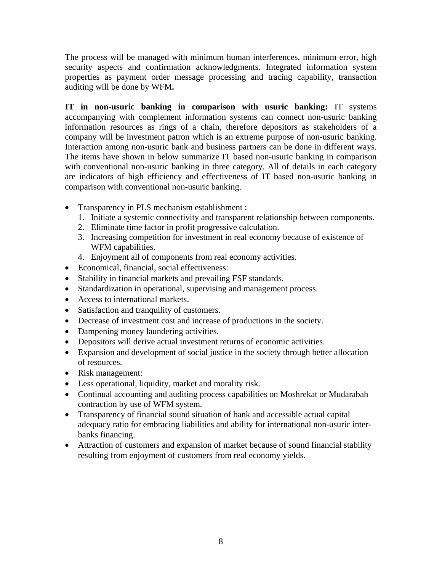The process will be managed with minimum human interferences, minimum error, high security aspects and confirmation acknowledgments. Integrated information system properties as payment order message processing and tracing capability, transaction auditing will be done by WFM**.** 

**IT in non-usuric banking in comparison with usuric banking:** IT systems accompanying with complement information systems can connect non-usuric banking information resources as rings of a chain, therefore depositors as stakeholders of a company will be investment patron which is an extreme purpose of non-usuric banking. Interaction among non-usuric bank and business partners can be done in different ways. The items have shown in below summarize IT based non-usuric banking in comparison with conventional non-usuric banking in three category. All of details in each category are indicators of high efficiency and effectiveness of IT based non-usuric banking in comparison with conventional non-usuric banking.

- Transparency in PLS mechanism establishment :
	- 1. Initiate a systemic connectivity and transparent relationship between components.
	- 2. Eliminate time factor in profit progressive calculation.
	- 3. Increasing competition for investment in real economy because of existence of WFM capabilities.
	- 4. Enjoyment all of components from real economy activities.
- Economical, financial, social effectiveness:
- Stability in financial markets and prevailing FSF standards.
- Standardization in operational, supervising and management process.
- Access to international markets.
- Satisfaction and tranquility of customers.
- Decrease of investment cost and increase of productions in the society.
- Dampening money laundering activities.
- Depositors will derive actual investment returns of economic activities.
- Expansion and development of social justice in the society through better allocation of resources.
- Risk management:
- Less operational, liquidity, market and morality risk.
- Continual accounting and auditing process capabilities on Moshrekat or Mudarabah contraction by use of WFM system.
- Transparency of financial sound situation of bank and accessible actual capital adequacy ratio for embracing liabilities and ability for international non-usuric interbanks financing.
- Attraction of customers and expansion of market because of sound financial stability resulting from enjoyment of customers from real economy yields.